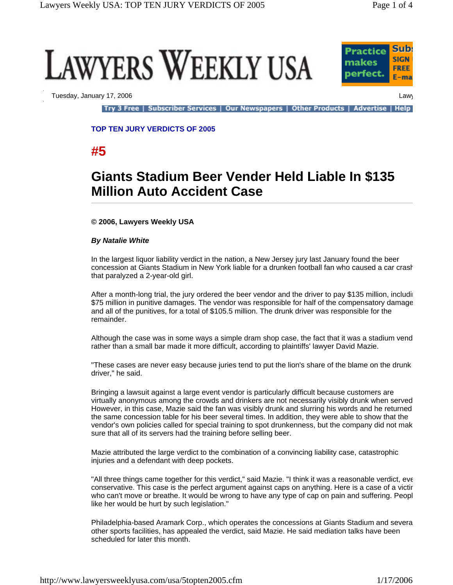



Tuesday, January 17, 2006 Lawy

Try 3 Free | Subscriber Services | Our Newspapers | Other Products | Advertise | Help

**TOP TEN JURY VERDICTS OF 2005**

**#5**

# **Giants Stadium Beer Vender Held Liable In \$135 Million Auto Accident Case**

# **© 2006, Lawyers Weekly USA**

### *By Natalie White*

In the largest liquor liability verdict in the nation, a New Jersey jury last January found the beer concession at Giants Stadium in New York liable for a drunken football fan who caused a car crash that paralyzed a 2-year-old girl.

After a month-long trial, the jury ordered the beer vendor and the driver to pay \$135 million, includin \$75 million in punitive damages. The vendor was responsible for half of the compensatory damage and all of the punitives, for a total of \$105.5 million. The drunk driver was responsible for the remainder.

Although the case was in some ways a simple dram shop case, the fact that it was a stadium vend rather than a small bar made it more difficult, according to plaintiffs' lawyer David Mazie.

"These cases are never easy because juries tend to put the lion's share of the blame on the drunk driver," he said.

Bringing a lawsuit against a large event vendor is particularly difficult because customers are virtually anonymous among the crowds and drinkers are not necessarily visibly drunk when served However, in this case, Mazie said the fan was visibly drunk and slurring his words and he returned the same concession table for his beer several times. In addition, they were able to show that the vendor's own policies called for special training to spot drunkenness, but the company did not mak sure that all of its servers had the training before selling beer.

Mazie attributed the large verdict to the combination of a convincing liability case, catastrophic injuries and a defendant with deep pockets.

"All three things came together for this verdict," said Mazie. "I think it was a reasonable verdict, eve conservative. This case is the perfect argument against caps on anything. Here is a case of a victir who can't move or breathe. It would be wrong to have any type of cap on pain and suffering. Peopl like her would be hurt by such legislation."

Philadelphia-based Aramark Corp., which operates the concessions at Giants Stadium and severa other sports facilities, has appealed the verdict, said Mazie. He said mediation talks have been scheduled for later this month.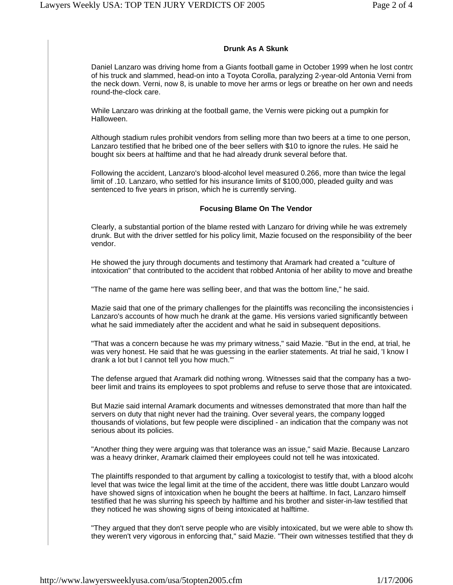# **Drunk As A Skunk**

Daniel Lanzaro was driving home from a Giants football game in October 1999 when he lost contro of his truck and slammed, head-on into a Toyota Corolla, paralyzing 2-year-old Antonia Verni from the neck down. Verni, now 8, is unable to move her arms or legs or breathe on her own and needs round-the-clock care.

While Lanzaro was drinking at the football game, the Vernis were picking out a pumpkin for Halloween.

Although stadium rules prohibit vendors from selling more than two beers at a time to one person, Lanzaro testified that he bribed one of the beer sellers with \$10 to ignore the rules. He said he bought six beers at halftime and that he had already drunk several before that.

Following the accident, Lanzaro's blood-alcohol level measured 0.266, more than twice the legal limit of .10. Lanzaro, who settled for his insurance limits of \$100,000, pleaded guilty and was sentenced to five years in prison, which he is currently serving.

### **Focusing Blame On The Vendor**

Clearly, a substantial portion of the blame rested with Lanzaro for driving while he was extremely drunk. But with the driver settled for his policy limit, Mazie focused on the responsibility of the beer vendor.

He showed the jury through documents and testimony that Aramark had created a "culture of intoxication" that contributed to the accident that robbed Antonia of her ability to move and breathe

"The name of the game here was selling beer, and that was the bottom line," he said.

Mazie said that one of the primary challenges for the plaintiffs was reconciling the inconsistencies i Lanzaro's accounts of how much he drank at the game. His versions varied significantly between what he said immediately after the accident and what he said in subsequent depositions.

"That was a concern because he was my primary witness," said Mazie. "But in the end, at trial, he was very honest. He said that he was guessing in the earlier statements. At trial he said, 'I know I drank a lot but I cannot tell you how much.'"

The defense argued that Aramark did nothing wrong. Witnesses said that the company has a twobeer limit and trains its employees to spot problems and refuse to serve those that are intoxicated.

But Mazie said internal Aramark documents and witnesses demonstrated that more than half the servers on duty that night never had the training. Over several years, the company logged thousands of violations, but few people were disciplined - an indication that the company was not serious about its policies.

"Another thing they were arguing was that tolerance was an issue," said Mazie. Because Lanzaro was a heavy drinker, Aramark claimed their employees could not tell he was intoxicated.

The plaintiffs responded to that argument by calling a toxicologist to testify that, with a blood alcohound level that was twice the legal limit at the time of the accident, there was little doubt Lanzaro would have showed signs of intoxication when he bought the beers at halftime. In fact, Lanzaro himself testified that he was slurring his speech by halftime and his brother and sister-in-law testified that they noticed he was showing signs of being intoxicated at halftime.

"They argued that they don't serve people who are visibly intoxicated, but we were able to show that they weren't very vigorous in enforcing that," said Mazie. "Their own witnesses testified that they do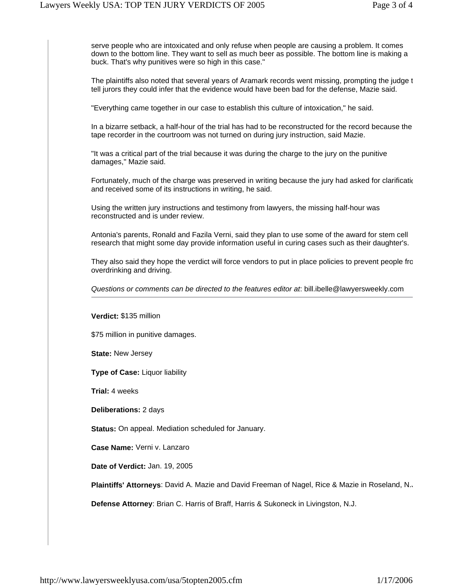serve people who are intoxicated and only refuse when people are causing a problem. It comes down to the bottom line. They want to sell as much beer as possible. The bottom line is making a buck. That's why punitives were so high in this case."

The plaintiffs also noted that several years of Aramark records went missing, prompting the judge t tell jurors they could infer that the evidence would have been bad for the defense, Mazie said.

"Everything came together in our case to establish this culture of intoxication," he said.

In a bizarre setback, a half-hour of the trial has had to be reconstructed for the record because the tape recorder in the courtroom was not turned on during jury instruction, said Mazie.

"It was a critical part of the trial because it was during the charge to the jury on the punitive damages," Mazie said.

Fortunately, much of the charge was preserved in writing because the jury had asked for clarificatio and received some of its instructions in writing, he said.

Using the written jury instructions and testimony from lawyers, the missing half-hour was reconstructed and is under review.

Antonia's parents, Ronald and Fazila Verni, said they plan to use some of the award for stem cell research that might some day provide information useful in curing cases such as their daughter's.

They also said they hope the verdict will force vendors to put in place policies to prevent people fro overdrinking and driving.

*Questions or comments can be directed to the features editor at*: bill.ibelle@lawyersweekly.com

**Verdict:** \$135 million

\$75 million in punitive damages.

**State:** New Jersey

**Type of Case:** Liquor liability

**Trial:** 4 weeks

**Deliberations:** 2 days

**Status:** On appeal. Mediation scheduled for January.

**Case Name:** Verni v. Lanzaro

**Date of Verdict:** Jan. 19, 2005

**Plaintiffs' Attorneys**: David A. Mazie and David Freeman of Nagel, Rice & Mazie in Roseland, N.J

**Defense Attorney**: Brian C. Harris of Braff, Harris & Sukoneck in Livingston, N.J.